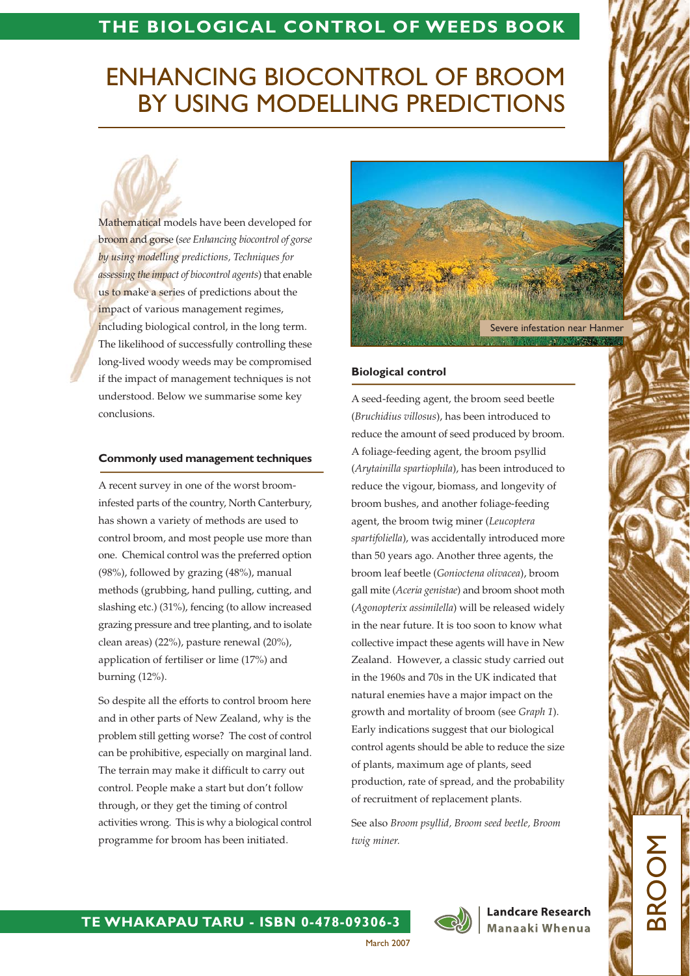## THE BIOLOGICAL CONTROL OF WEEDS BOOK

# **ENHANCING BIOCONTROL OF BROOM** BY USING MODELLING PREDICTIONS

Mathematical models have been developed for broom and gorse (see Enhancing biocontrol of gorse by using modelling predictions, Techniques for assessing the impact of biocontrol agents) that enable us to make a series of predictions about the impact of various management regimes, including biological control, in the long term. The likelihood of successfully controlling these long-lived woody weeds may be compromised if the impact of management techniques is not understood. Below we summarise some key conclusions.

#### **Commonly used management techniques**

A recent survey in one of the worst broominfested parts of the country, North Canterbury, has shown a variety of methods are used to control broom, and most people use more than one. Chemical control was the preferred option (98%), followed by grazing (48%), manual methods (grubbing, hand pulling, cutting, and slashing etc.) (31%), fencing (to allow increased grazing pressure and tree planting, and to isolate clean areas) (22%), pasture renewal (20%), application of fertiliser or lime (17%) and burning (12%).

So despite all the efforts to control broom here and in other parts of New Zealand, why is the problem still getting worse? The cost of control can be prohibitive, especially on marginal land. The terrain may make it difficult to carry out control. People make a start but don't follow through, or they get the timing of control activities wrong. This is why a biological control programme for broom has been initiated.



#### **Biological control**

A seed-feeding agent, the broom seed beetle (Bruchidius villosus), has been introduced to reduce the amount of seed produced by broom. A foliage-feeding agent, the broom psyllid (Arytainilla spartiophila), has been introduced to reduce the vigour, biomass, and longevity of broom bushes, and another foliage-feeding agent, the broom twig miner (Leucoptera spartifoliella), was accidentally introduced more than 50 years ago. Another three agents, the broom leaf beetle (Gonioctena olivacea), broom gall mite (Aceria genistae) and broom shoot moth (Agonopterix assimilella) will be released widely in the near future. It is too soon to know what collective impact these agents will have in New Zealand. However, a classic study carried out in the 1960s and 70s in the UK indicated that natural enemies have a major impact on the growth and mortality of broom (see Graph 1). Early indications suggest that our biological control agents should be able to reduce the size of plants, maximum age of plants, seed production, rate of spread, and the probability of recruitment of replacement plants.

See also Broom psyllid, Broom seed beetle, Broom twig miner.



**Landcare Research** Manaaki Whenua

March 2007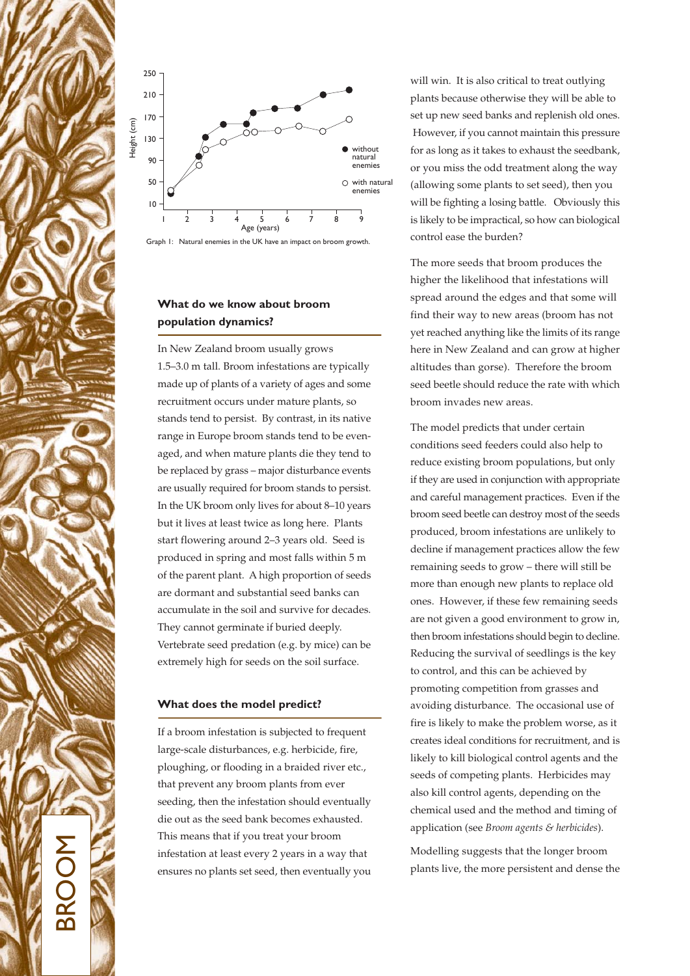





## What do we know about broom population dynamics?

In New Zealand broom usually grows 1.5-3.0 m tall. Broom infestations are typically made up of plants of a variety of ages and some recruitment occurs under mature plants, so stands tend to persist. By contrast, in its native range in Europe broom stands tend to be evenaged, and when mature plants die they tend to be replaced by grass - major disturbance events are usually required for broom stands to persist. In the UK broom only lives for about 8-10 years but it lives at least twice as long here. Plants start flowering around 2-3 years old. Seed is produced in spring and most falls within 5 m of the parent plant. A high proportion of seeds are dormant and substantial seed banks can accumulate in the soil and survive for decades. They cannot germinate if buried deeply. Vertebrate seed predation (e.g. by mice) can be extremely high for seeds on the soil surface.

### What does the model predict?

If a broom infestation is subjected to frequent large-scale disturbances, e.g. herbicide, fire, ploughing, or flooding in a braided river etc., that prevent any broom plants from ever seeding, then the infestation should eventually die out as the seed bank becomes exhausted. This means that if you treat your broom infestation at least every 2 years in a way that ensures no plants set seed, then eventually you

will win. It is also critical to treat outlying plants because otherwise they will be able to set up new seed banks and replenish old ones. However, if you cannot maintain this pressure for as long as it takes to exhaust the seedbank, or you miss the odd treatment along the way (allowing some plants to set seed), then you will be fighting a losing battle. Obviously this is likely to be impractical, so how can biological control ease the burden?

The more seeds that broom produces the higher the likelihood that infestations will spread around the edges and that some will find their way to new areas (broom has not yet reached anything like the limits of its range here in New Zealand and can grow at higher altitudes than gorse). Therefore the broom seed beetle should reduce the rate with which broom invades new areas.

The model predicts that under certain conditions seed feeders could also help to reduce existing broom populations, but only if they are used in conjunction with appropriate and careful management practices. Even if the broom seed beetle can destroy most of the seeds produced, broom infestations are unlikely to decline if management practices allow the few remaining seeds to grow - there will still be more than enough new plants to replace old ones. However, if these few remaining seeds are not given a good environment to grow in, then broom infestations should begin to decline. Reducing the survival of seedlings is the key to control, and this can be achieved by promoting competition from grasses and avoiding disturbance. The occasional use of fire is likely to make the problem worse, as it creates ideal conditions for recruitment, and is likely to kill biological control agents and the seeds of competing plants. Herbicides may also kill control agents, depending on the chemical used and the method and timing of application (see Broom agents & herbicides).

Modelling suggests that the longer broom plants live, the more persistent and dense the